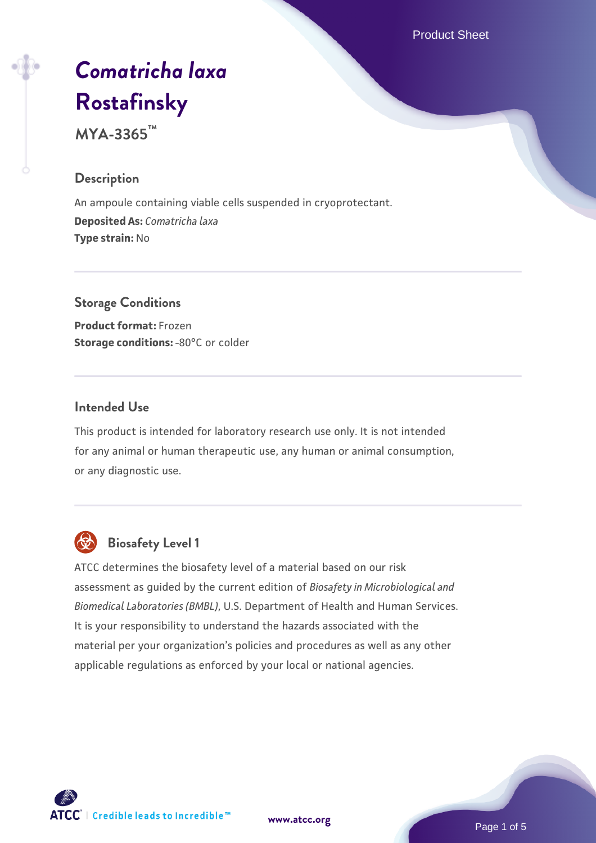Product Sheet

# *[Comatricha laxa](https://www.atcc.org/products/mya-3365)* **[Rostafinsky](https://www.atcc.org/products/mya-3365)**

**MYA-3365™**

# **Description**

An ampoule containing viable cells suspended in cryoprotectant. **Deposited As:** *Comatricha laxa* **Type strain:** No

# **Storage Conditions Product format:** Frozen **Storage conditions: -80°C or colder**

# **Intended Use**

This product is intended for laboratory research use only. It is not intended for any animal or human therapeutic use, any human or animal consumption, or any diagnostic use.



# **Biosafety Level 1**

ATCC determines the biosafety level of a material based on our risk assessment as guided by the current edition of *Biosafety in Microbiological and Biomedical Laboratories (BMBL)*, U.S. Department of Health and Human Services. It is your responsibility to understand the hazards associated with the material per your organization's policies and procedures as well as any other applicable regulations as enforced by your local or national agencies.



**[www.atcc.org](http://www.atcc.org)**

Page 1 of 5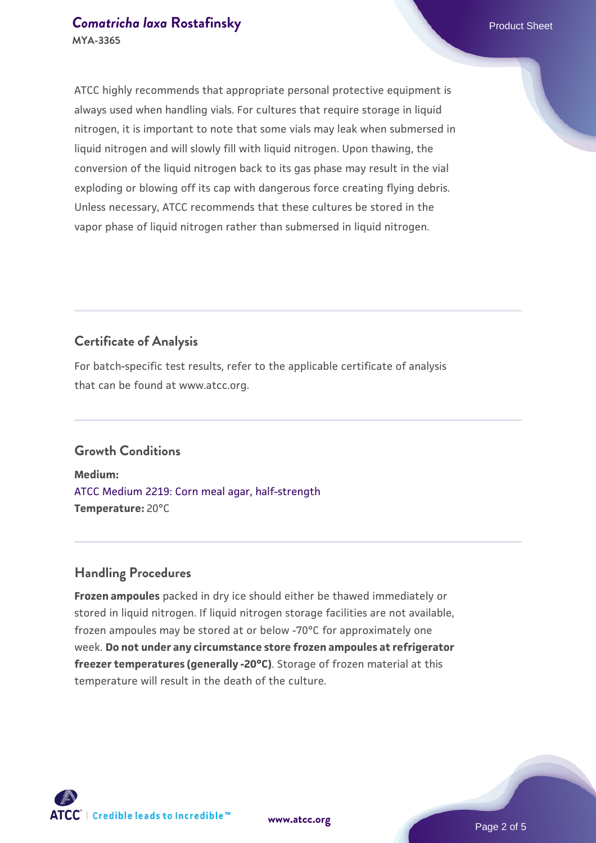#### **[Comatricha laxa](https://www.atcc.org/products/mya-3365) [Rostafinsky](https://www.atcc.org/products/mya-3365) Product Sheet** Product Sheet **MYA-3365**

ATCC highly recommends that appropriate personal protective equipment is always used when handling vials. For cultures that require storage in liquid nitrogen, it is important to note that some vials may leak when submersed in liquid nitrogen and will slowly fill with liquid nitrogen. Upon thawing, the conversion of the liquid nitrogen back to its gas phase may result in the vial exploding or blowing off its cap with dangerous force creating flying debris. Unless necessary, ATCC recommends that these cultures be stored in the vapor phase of liquid nitrogen rather than submersed in liquid nitrogen.

# **Certificate of Analysis**

For batch-specific test results, refer to the applicable certificate of analysis that can be found at www.atcc.org.

# **Growth Conditions**

**Medium:**  [ATCC Medium 2219: Corn meal agar, half-strength](https://www.atcc.org/-/media/product-assets/documents/microbial-media-formulations/2/2/1/9/atcc-medium-2219.pdf?rev=56941740a8e44ef5b0ad065230bb5acc) **Temperature:** 20°C

#### **Handling Procedures**

**Frozen ampoules** packed in dry ice should either be thawed immediately or stored in liquid nitrogen. If liquid nitrogen storage facilities are not available, frozen ampoules may be stored at or below -70°C for approximately one week. **Do not under any circumstance store frozen ampoules at refrigerator freezer temperatures (generally -20°C)**. Storage of frozen material at this temperature will result in the death of the culture.



**[www.atcc.org](http://www.atcc.org)**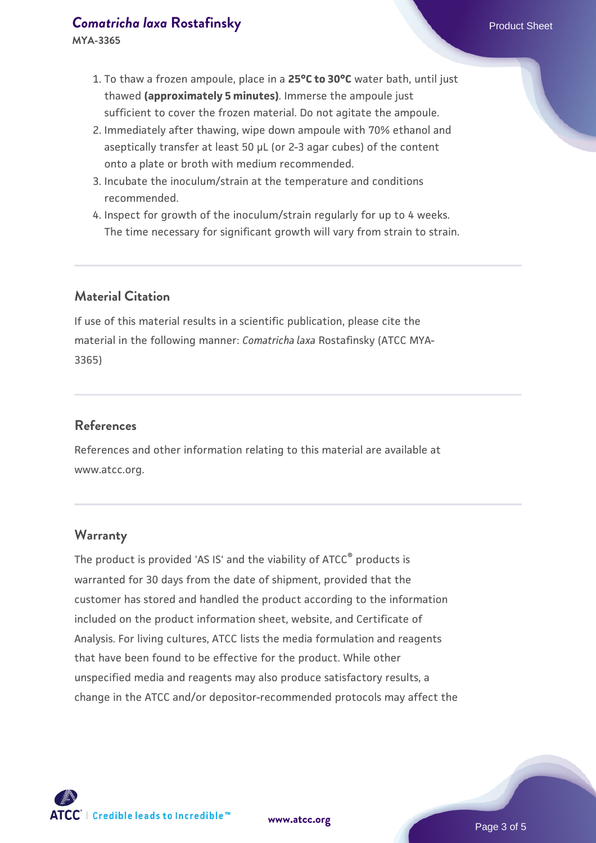#### **[Comatricha laxa](https://www.atcc.org/products/mya-3365) [Rostafinsky](https://www.atcc.org/products/mya-3365) Product Sheet** Product Sheet

**MYA-3365**

- 1. To thaw a frozen ampoule, place in a **25°C to 30°C** water bath, until just thawed **(approximately 5 minutes)**. Immerse the ampoule just sufficient to cover the frozen material. Do not agitate the ampoule.
- 2. Immediately after thawing, wipe down ampoule with 70% ethanol and aseptically transfer at least 50 µL (or 2-3 agar cubes) of the content onto a plate or broth with medium recommended.
- 3. Incubate the inoculum/strain at the temperature and conditions recommended.
- 4. Inspect for growth of the inoculum/strain regularly for up to 4 weeks. The time necessary for significant growth will vary from strain to strain.

# **Material Citation**

If use of this material results in a scientific publication, please cite the material in the following manner: *Comatricha laxa* Rostafinsky (ATCC MYA-3365)

# **References**

References and other information relating to this material are available at www.atcc.org.

#### **Warranty**

The product is provided 'AS IS' and the viability of ATCC<sup>®</sup> products is warranted for 30 days from the date of shipment, provided that the customer has stored and handled the product according to the information included on the product information sheet, website, and Certificate of Analysis. For living cultures, ATCC lists the media formulation and reagents that have been found to be effective for the product. While other unspecified media and reagents may also produce satisfactory results, a change in the ATCC and/or depositor-recommended protocols may affect the

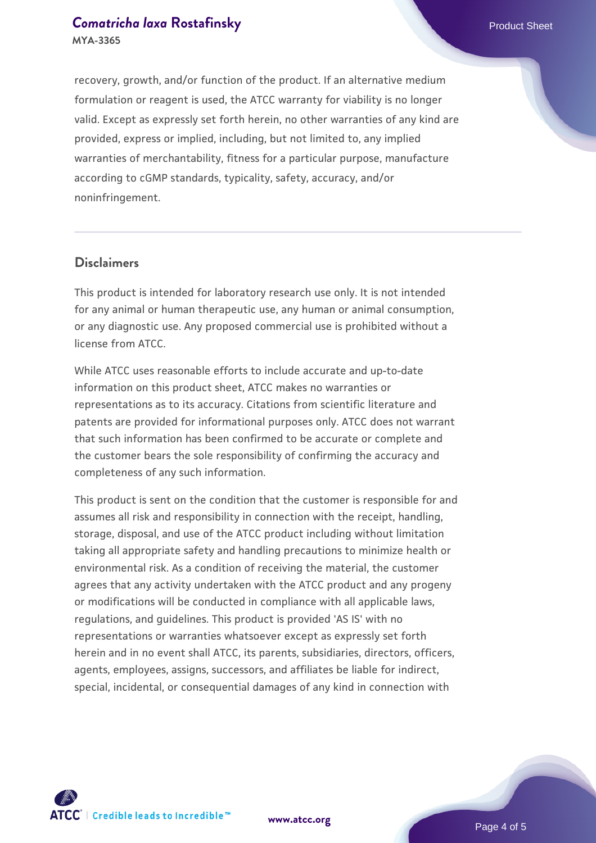recovery, growth, and/or function of the product. If an alternative medium formulation or reagent is used, the ATCC warranty for viability is no longer valid. Except as expressly set forth herein, no other warranties of any kind are provided, express or implied, including, but not limited to, any implied warranties of merchantability, fitness for a particular purpose, manufacture according to cGMP standards, typicality, safety, accuracy, and/or noninfringement.

#### **Disclaimers**

This product is intended for laboratory research use only. It is not intended for any animal or human therapeutic use, any human or animal consumption, or any diagnostic use. Any proposed commercial use is prohibited without a license from ATCC.

While ATCC uses reasonable efforts to include accurate and up-to-date information on this product sheet, ATCC makes no warranties or representations as to its accuracy. Citations from scientific literature and patents are provided for informational purposes only. ATCC does not warrant that such information has been confirmed to be accurate or complete and the customer bears the sole responsibility of confirming the accuracy and completeness of any such information.

This product is sent on the condition that the customer is responsible for and assumes all risk and responsibility in connection with the receipt, handling, storage, disposal, and use of the ATCC product including without limitation taking all appropriate safety and handling precautions to minimize health or environmental risk. As a condition of receiving the material, the customer agrees that any activity undertaken with the ATCC product and any progeny or modifications will be conducted in compliance with all applicable laws, regulations, and guidelines. This product is provided 'AS IS' with no representations or warranties whatsoever except as expressly set forth herein and in no event shall ATCC, its parents, subsidiaries, directors, officers, agents, employees, assigns, successors, and affiliates be liable for indirect, special, incidental, or consequential damages of any kind in connection with